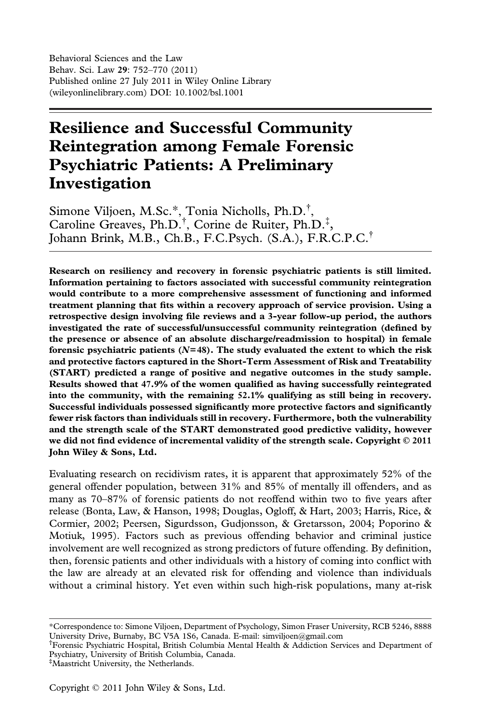Behavioral Sciences and the Law Behav. Sci. Law 29: 752–770 (2011) Published online 27 July 2011 in Wiley Online Library (wileyonlinelibrary.com) DOI: 10.1002/bsl.1001

# Resilience and Successful Community Reintegration among Female Forensic Psychiatric Patients: A Preliminary Investigation

Simone Viljoen, M.Sc.\*, Tonia Nicholls, Ph.D.<sup>†</sup>, Caroline Greaves, Ph.D.<sup>†</sup>, Corine de Ruiter, Ph.D.<sup>‡</sup>, Johann Brink, M.B., Ch.B., F.C.Psych. (S.A.), F.R.C.P.C.†

Research on resiliency and recovery in forensic psychiatric patients is still limited. Information pertaining to factors associated with successful community reintegration would contribute to a more comprehensive assessment of functioning and informed treatment planning that fits within a recovery approach of service provision. Using a retrospective design involving file reviews and a 3-year follow-up period, the authors investigated the rate of successful/unsuccessful community reintegration (defined by the presence or absence of an absolute discharge/readmission to hospital) in female forensic psychiatric patients  $(N=48)$ . The study evaluated the extent to which the risk and protective factors captured in the Short-Term Assessment of Risk and Treatability (START) predicted a range of positive and negative outcomes in the study sample. Results showed that 47.9% of the women qualified as having successfully reintegrated into the community, with the remaining 52.1% qualifying as still being in recovery. Successful individuals possessed significantly more protective factors and significantly fewer risk factors than individuals still in recovery. Furthermore, both the vulnerability and the strength scale of the START demonstrated good predictive validity, however we did not find evidence of incremental validity of the strength scale. Copyright © 2011 John Wiley & Sons, Ltd.

Evaluating research on recidivism rates, it is apparent that approximately 52% of the general offender population, between 31% and 85% of mentally ill offenders, and as many as 70–87% of forensic patients do not reoffend within two to five years after release (Bonta, Law, & Hanson, 1998; Douglas, Ogloff, & Hart, 2003; Harris, Rice, & Cormier, 2002; Peersen, Sigurdsson, Gudjonsson, & Gretarsson, 2004; Poporino & Motiuk, 1995). Factors such as previous offending behavior and criminal justice involvement are well recognized as strong predictors of future offending. By definition, then, forensic patients and other individuals with a history of coming into conflict with the law are already at an elevated risk for offending and violence than individuals without a criminal history. Yet even within such high-risk populations, many at-risk

<sup>\*</sup>Correspondence to: Simone Viljoen, Department of Psychology, Simon Fraser University, RCB 5246, 8888 University Drive, Burnaby, BC V5A 1S6, Canada. E-mail: simviljoen@gmail.com

<sup>†</sup> Forensic Psychiatric Hospital, British Columbia Mental Health & Addiction Services and Department of Psychiatry, University of British Columbia, Canada.

<sup>‡</sup> Maastricht University, the Netherlands.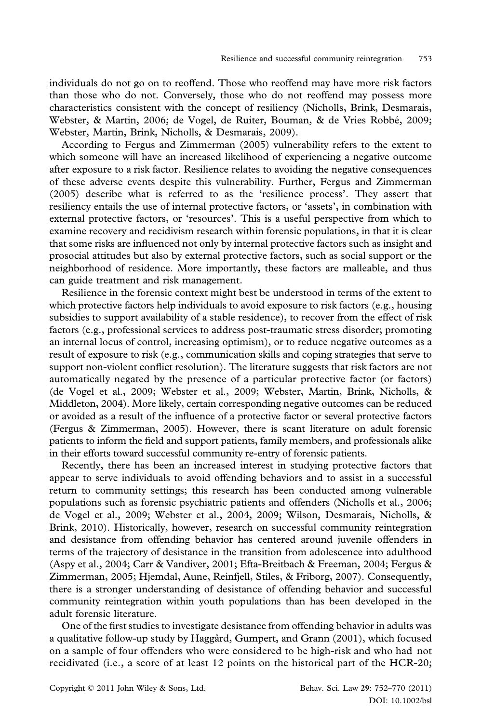individuals do not go on to reoffend. Those who reoffend may have more risk factors than those who do not. Conversely, those who do not reoffend may possess more characteristics consistent with the concept of resiliency (Nicholls, Brink, Desmarais, Webster, & Martin, 2006; de Vogel, de Ruiter, Bouman, & de Vries Robbé, 2009; Webster, Martin, Brink, Nicholls, & Desmarais, 2009).

According to Fergus and Zimmerman (2005) vulnerability refers to the extent to which someone will have an increased likelihood of experiencing a negative outcome after exposure to a risk factor. Resilience relates to avoiding the negative consequences of these adverse events despite this vulnerability. Further, Fergus and Zimmerman (2005) describe what is referred to as the 'resilience process'. They assert that resiliency entails the use of internal protective factors, or 'assets', in combination with external protective factors, or 'resources'. This is a useful perspective from which to examine recovery and recidivism research within forensic populations, in that it is clear that some risks are influenced not only by internal protective factors such as insight and prosocial attitudes but also by external protective factors, such as social support or the neighborhood of residence. More importantly, these factors are malleable, and thus can guide treatment and risk management.

Resilience in the forensic context might best be understood in terms of the extent to which protective factors help individuals to avoid exposure to risk factors (e.g., housing subsidies to support availability of a stable residence), to recover from the effect of risk factors (e.g., professional services to address post-traumatic stress disorder; promoting an internal locus of control, increasing optimism), or to reduce negative outcomes as a result of exposure to risk (e.g., communication skills and coping strategies that serve to support non-violent conflict resolution). The literature suggests that risk factors are not automatically negated by the presence of a particular protective factor (or factors) (de Vogel et al., 2009; Webster et al., 2009; Webster, Martin, Brink, Nicholls, & Middleton, 2004). More likely, certain corresponding negative outcomes can be reduced or avoided as a result of the influence of a protective factor or several protective factors (Fergus & Zimmerman, 2005). However, there is scant literature on adult forensic patients to inform the field and support patients, family members, and professionals alike in their efforts toward successful community re-entry of forensic patients.

Recently, there has been an increased interest in studying protective factors that appear to serve individuals to avoid offending behaviors and to assist in a successful return to community settings; this research has been conducted among vulnerable populations such as forensic psychiatric patients and offenders (Nicholls et al., 2006; de Vogel et al., 2009; Webster et al., 2004, 2009; Wilson, Desmarais, Nicholls, & Brink, 2010). Historically, however, research on successful community reintegration and desistance from offending behavior has centered around juvenile offenders in terms of the trajectory of desistance in the transition from adolescence into adulthood (Aspy et al., 2004; Carr & Vandiver, 2001; Efta-Breitbach & Freeman, 2004; Fergus & Zimmerman, 2005; Hjemdal, Aune, Reinfjell, Stiles, & Friborg, 2007). Consequently, there is a stronger understanding of desistance of offending behavior and successful community reintegration within youth populations than has been developed in the adult forensic literature.

One of the first studies to investigate desistance from offending behavior in adults was a qualitative follow-up study by Haggård, Gumpert, and Grann (2001), which focused on a sample of four offenders who were considered to be high-risk and who had not recidivated (i.e., a score of at least 12 points on the historical part of the HCR-20;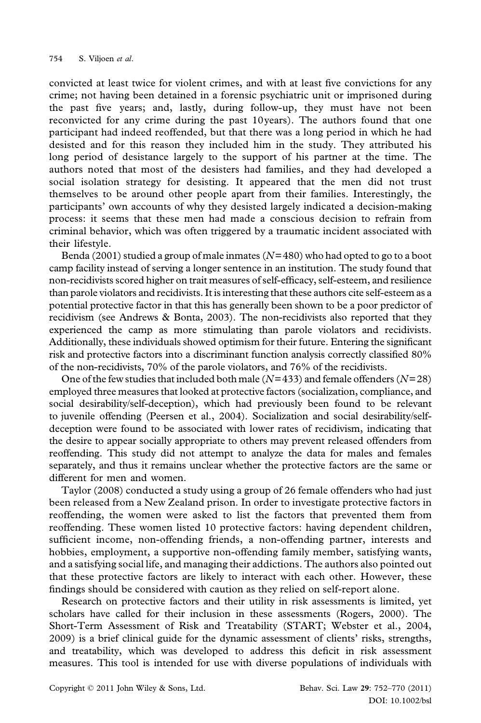convicted at least twice for violent crimes, and with at least five convictions for any crime; not having been detained in a forensic psychiatric unit or imprisoned during the past five years; and, lastly, during follow-up, they must have not been reconvicted for any crime during the past 10years). The authors found that one participant had indeed reoffended, but that there was a long period in which he had desisted and for this reason they included him in the study. They attributed his long period of desistance largely to the support of his partner at the time. The authors noted that most of the desisters had families, and they had developed a social isolation strategy for desisting. It appeared that the men did not trust themselves to be around other people apart from their families. Interestingly, the participants' own accounts of why they desisted largely indicated a decision-making process: it seems that these men had made a conscious decision to refrain from criminal behavior, which was often triggered by a traumatic incident associated with their lifestyle.

Benda (2001) studied a group of male inmates ( $N=480$ ) who had opted to go to a boot camp facility instead of serving a longer sentence in an institution. The study found that non-recidivists scored higher on trait measures of self-efficacy, self-esteem, and resilience than parole violators and recidivists. It is interesting that these authors cite self-esteem as a potential protective factor in that this has generally been shown to be a poor predictor of recidivism (see Andrews & Bonta, 2003). The non-recidivists also reported that they experienced the camp as more stimulating than parole violators and recidivists. Additionally, these individuals showed optimism for their future. Entering the significant risk and protective factors into a discriminant function analysis correctly classified 80% of the non-recidivists, 70% of the parole violators, and 76% of the recidivists.

One of the few studies that included both male ( $N=433$ ) and female offenders ( $N=28$ ) employed three measures that looked at protective factors (socialization, compliance, and social desirability/self-deception), which had previously been found to be relevant to juvenile offending (Peersen et al., 2004). Socialization and social desirability/selfdeception were found to be associated with lower rates of recidivism, indicating that the desire to appear socially appropriate to others may prevent released offenders from reoffending. This study did not attempt to analyze the data for males and females separately, and thus it remains unclear whether the protective factors are the same or different for men and women.

Taylor (2008) conducted a study using a group of 26 female offenders who had just been released from a New Zealand prison. In order to investigate protective factors in reoffending, the women were asked to list the factors that prevented them from reoffending. These women listed 10 protective factors: having dependent children, sufficient income, non-offending friends, a non-offending partner, interests and hobbies, employment, a supportive non-offending family member, satisfying wants, and a satisfying social life, and managing their addictions. The authors also pointed out that these protective factors are likely to interact with each other. However, these findings should be considered with caution as they relied on self-report alone.

Research on protective factors and their utility in risk assessments is limited, yet scholars have called for their inclusion in these assessments (Rogers, 2000). The Short-Term Assessment of Risk and Treatability (START; Webster et al., 2004, 2009) is a brief clinical guide for the dynamic assessment of clients' risks, strengths, and treatability, which was developed to address this deficit in risk assessment measures. This tool is intended for use with diverse populations of individuals with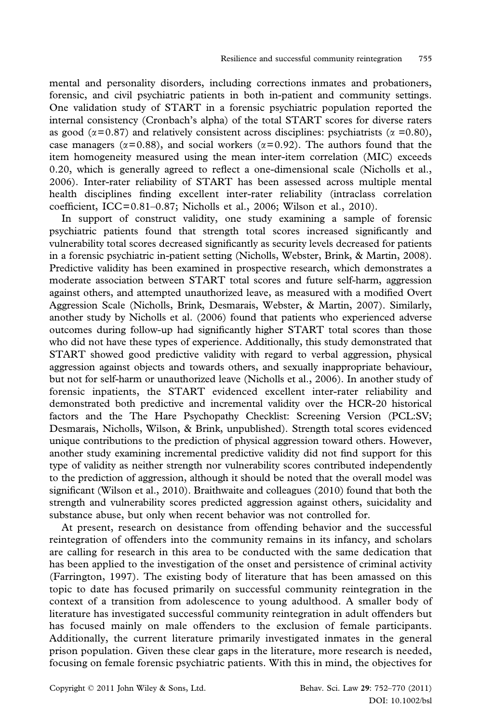mental and personality disorders, including corrections inmates and probationers, forensic, and civil psychiatric patients in both in-patient and community settings. One validation study of START in a forensic psychiatric population reported the internal consistency (Cronbach's alpha) of the total START scores for diverse raters as good ( $\alpha$ =0.87) and relatively consistent across disciplines: psychiatrists ( $\alpha$  =0.80), case managers ( $\alpha$ =0.88), and social workers ( $\alpha$ =0.92). The authors found that the item homogeneity measured using the mean inter-item correlation (MIC) exceeds 0.20, which is generally agreed to reflect a one-dimensional scale (Nicholls et al., 2006). Inter-rater reliability of START has been assessed across multiple mental health disciplines finding excellent inter-rater reliability (intraclass correlation coefficient, ICC=0.81–0.87; Nicholls et al., 2006; Wilson et al., 2010).

In support of construct validity, one study examining a sample of forensic psychiatric patients found that strength total scores increased significantly and vulnerability total scores decreased significantly as security levels decreased for patients in a forensic psychiatric in-patient setting (Nicholls, Webster, Brink, & Martin, 2008). Predictive validity has been examined in prospective research, which demonstrates a moderate association between START total scores and future self-harm, aggression against others, and attempted unauthorized leave, as measured with a modified Overt Aggression Scale (Nicholls, Brink, Desmarais, Webster, & Martin, 2007). Similarly, another study by Nicholls et al. (2006) found that patients who experienced adverse outcomes during follow-up had significantly higher START total scores than those who did not have these types of experience. Additionally, this study demonstrated that START showed good predictive validity with regard to verbal aggression, physical aggression against objects and towards others, and sexually inappropriate behaviour, but not for self-harm or unauthorized leave (Nicholls et al., 2006). In another study of forensic inpatients, the START evidenced excellent inter-rater reliability and demonstrated both predictive and incremental validity over the HCR-20 historical factors and the The Hare Psychopathy Checklist: Screening Version (PCL:SV; Desmarais, Nicholls, Wilson, & Brink, unpublished). Strength total scores evidenced unique contributions to the prediction of physical aggression toward others. However, another study examining incremental predictive validity did not find support for this type of validity as neither strength nor vulnerability scores contributed independently to the prediction of aggression, although it should be noted that the overall model was significant (Wilson et al., 2010). Braithwaite and colleagues (2010) found that both the strength and vulnerability scores predicted aggression against others, suicidality and substance abuse, but only when recent behavior was not controlled for.

At present, research on desistance from offending behavior and the successful reintegration of offenders into the community remains in its infancy, and scholars are calling for research in this area to be conducted with the same dedication that has been applied to the investigation of the onset and persistence of criminal activity (Farrington, 1997). The existing body of literature that has been amassed on this topic to date has focused primarily on successful community reintegration in the context of a transition from adolescence to young adulthood. A smaller body of literature has investigated successful community reintegration in adult offenders but has focused mainly on male offenders to the exclusion of female participants. Additionally, the current literature primarily investigated inmates in the general prison population. Given these clear gaps in the literature, more research is needed, focusing on female forensic psychiatric patients. With this in mind, the objectives for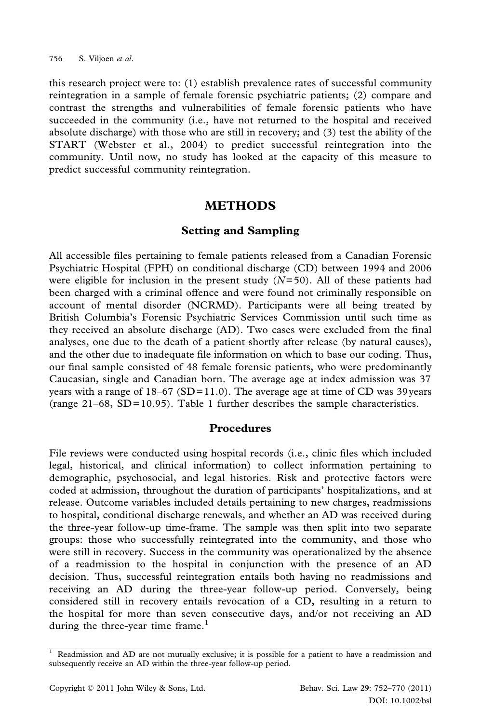#### 756 S. Viljoen et al.

this research project were to: (1) establish prevalence rates of successful community reintegration in a sample of female forensic psychiatric patients; (2) compare and contrast the strengths and vulnerabilities of female forensic patients who have succeeded in the community (i.e., have not returned to the hospital and received absolute discharge) with those who are still in recovery; and (3) test the ability of the START (Webster et al., 2004) to predict successful reintegration into the community. Until now, no study has looked at the capacity of this measure to predict successful community reintegration.

# METHODS

# Setting and Sampling

All accessible files pertaining to female patients released from a Canadian Forensic Psychiatric Hospital (FPH) on conditional discharge (CD) between 1994 and 2006 were eligible for inclusion in the present study  $(N=50)$ . All of these patients had been charged with a criminal offence and were found not criminally responsible on account of mental disorder (NCRMD). Participants were all being treated by British Columbia's Forensic Psychiatric Services Commission until such time as they received an absolute discharge (AD). Two cases were excluded from the final analyses, one due to the death of a patient shortly after release (by natural causes), and the other due to inadequate file information on which to base our coding. Thus, our final sample consisted of 48 female forensic patients, who were predominantly Caucasian, single and Canadian born. The average age at index admission was 37 years with a range of  $18-67$  (SD=11.0). The average age at time of CD was 39years (range  $21-68$ ,  $SD=10.95$ ). Table 1 further describes the sample characteristics.

## Procedures

File reviews were conducted using hospital records (i.e., clinic files which included legal, historical, and clinical information) to collect information pertaining to demographic, psychosocial, and legal histories. Risk and protective factors were coded at admission, throughout the duration of participants' hospitalizations, and at release. Outcome variables included details pertaining to new charges, readmissions to hospital, conditional discharge renewals, and whether an AD was received during the three-year follow-up time-frame. The sample was then split into two separate groups: those who successfully reintegrated into the community, and those who were still in recovery. Success in the community was operationalized by the absence of a readmission to the hospital in conjunction with the presence of an AD decision. Thus, successful reintegration entails both having no readmissions and receiving an AD during the three-year follow-up period. Conversely, being considered still in recovery entails revocation of a CD, resulting in a return to the hospital for more than seven consecutive days, and/or not receiving an AD during the three-year time frame.<sup>1</sup>

<sup>&</sup>lt;sup>1</sup> Readmission and AD are not mutually exclusive; it is possible for a patient to have a readmission and subsequently receive an AD within the three-year follow-up period.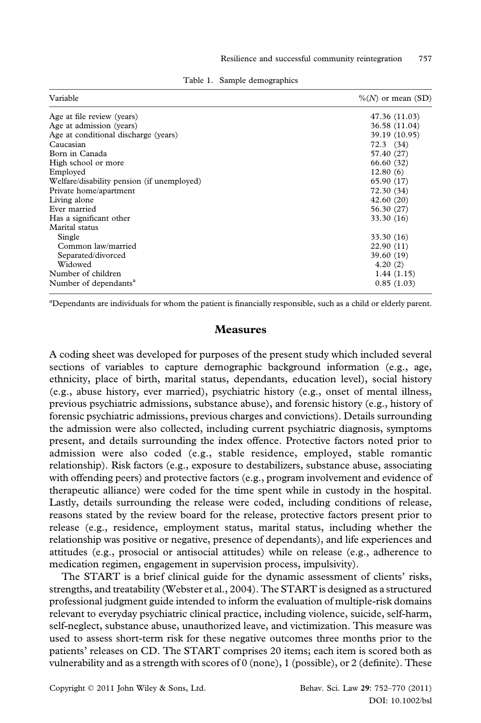| Variable                                   | $\%$ (N) or mean (SD) |  |
|--------------------------------------------|-----------------------|--|
| Age at file review (years)                 | 47.36 (11.03)         |  |
| Age at admission (years)                   | 36.58 (11.04)         |  |
| Age at conditional discharge (years)       | 39.19 (10.95)         |  |
| Caucasian                                  | $72.3$ $(34)$         |  |
| Born in Canada                             | 57.40 (27)            |  |
| High school or more                        | 66.60 (32)            |  |
| Employed                                   | 12.80(6)              |  |
| Welfare/disability pension (if unemployed) | 65.90 (17)            |  |
| Private home/apartment                     | 72.30 (34)            |  |
| Living alone                               | 42.60 (20)            |  |
| Ever married                               | 56.30 (27)            |  |
| Has a significant other                    | 33.30 (16)            |  |
| Marital status                             |                       |  |
| Single                                     | 33.30 (16)            |  |
| Common law/married                         | 22.90(11)             |  |
| Separated/divorced                         | 39.60 (19)            |  |
| Widowed                                    | 4.20(2)               |  |
| Number of children                         | 1.44(1.15)            |  |
| Number of dependants <sup>a</sup>          | 0.85(1.03)            |  |

Table 1. Sample demographics

a Dependants are individuals for whom the patient is financially responsible, such as a child or elderly parent.

#### Measures

A coding sheet was developed for purposes of the present study which included several sections of variables to capture demographic background information (e.g., age, ethnicity, place of birth, marital status, dependants, education level), social history (e.g., abuse history, ever married), psychiatric history (e.g., onset of mental illness, previous psychiatric admissions, substance abuse), and forensic history (e.g., history of forensic psychiatric admissions, previous charges and convictions). Details surrounding the admission were also collected, including current psychiatric diagnosis, symptoms present, and details surrounding the index offence. Protective factors noted prior to admission were also coded (e.g., stable residence, employed, stable romantic relationship). Risk factors (e.g., exposure to destabilizers, substance abuse, associating with offending peers) and protective factors (e.g., program involvement and evidence of therapeutic alliance) were coded for the time spent while in custody in the hospital. Lastly, details surrounding the release were coded, including conditions of release, reasons stated by the review board for the release, protective factors present prior to release (e.g., residence, employment status, marital status, including whether the relationship was positive or negative, presence of dependants), and life experiences and attitudes (e.g., prosocial or antisocial attitudes) while on release (e.g., adherence to medication regimen, engagement in supervision process, impulsivity).

The START is a brief clinical guide for the dynamic assessment of clients' risks, strengths, and treatability (Webster et al., 2004). The START is designed as a structured professional judgment guide intended to inform the evaluation of multiple-risk domains relevant to everyday psychiatric clinical practice, including violence, suicide, self-harm, self-neglect, substance abuse, unauthorized leave, and victimization. This measure was used to assess short-term risk for these negative outcomes three months prior to the patients' releases on CD. The START comprises 20 items; each item is scored both as vulnerability and as a strength with scores of 0 (none), 1 (possible), or 2 (definite). These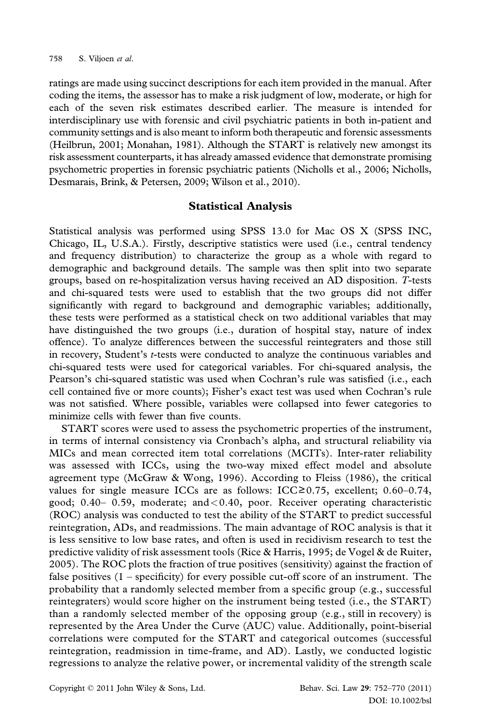ratings are made using succinct descriptions for each item provided in the manual. After coding the items, the assessor has to make a risk judgment of low, moderate, or high for each of the seven risk estimates described earlier. The measure is intended for interdisciplinary use with forensic and civil psychiatric patients in both in-patient and community settings and is also meant to inform both therapeutic and forensic assessments (Heilbrun, 2001; Monahan, 1981). Although the START is relatively new amongst its risk assessment counterparts, it has already amassed evidence that demonstrate promising psychometric properties in forensic psychiatric patients (Nicholls et al., 2006; Nicholls, Desmarais, Brink, & Petersen, 2009; Wilson et al., 2010).

## Statistical Analysis

Statistical analysis was performed using SPSS 13.0 for Mac OS X (SPSS INC, Chicago, IL, U.S.A.). Firstly, descriptive statistics were used (i.e., central tendency and frequency distribution) to characterize the group as a whole with regard to demographic and background details. The sample was then split into two separate groups, based on re-hospitalization versus having received an AD disposition. T-tests and chi-squared tests were used to establish that the two groups did not differ significantly with regard to background and demographic variables; additionally, these tests were performed as a statistical check on two additional variables that may have distinguished the two groups (i.e., duration of hospital stay, nature of index offence). To analyze differences between the successful reintegraters and those still in recovery, Student's t-tests were conducted to analyze the continuous variables and chi-squared tests were used for categorical variables. For chi-squared analysis, the Pearson's chi-squared statistic was used when Cochran's rule was satisfied (i.e., each cell contained five or more counts); Fisher's exact test was used when Cochran's rule was not satisfied. Where possible, variables were collapsed into fewer categories to minimize cells with fewer than five counts.

START scores were used to assess the psychometric properties of the instrument, in terms of internal consistency via Cronbach's alpha, and structural reliability via MICs and mean corrected item total correlations (MCITs). Inter-rater reliability was assessed with ICCs, using the two-way mixed effect model and absolute agreement type (McGraw & Wong, 1996). According to Fleiss (1986), the critical values for single measure ICCs are as follows: ICC≥0.75, excellent;  $0.60-0.74$ , good;  $0.40-0.59$ , moderate; and  $0.40$ , poor. Receiver operating characteristic (ROC) analysis was conducted to test the ability of the START to predict successful reintegration, ADs, and readmissions. The main advantage of ROC analysis is that it is less sensitive to low base rates, and often is used in recidivism research to test the predictive validity of risk assessment tools (Rice & Harris, 1995; de Vogel & de Ruiter, 2005). The ROC plots the fraction of true positives (sensitivity) against the fraction of false positives  $(1 - \text{specificity})$  for every possible cut-off score of an instrument. The probability that a randomly selected member from a specific group (e.g., successful reintegraters) would score higher on the instrument being tested (i.e., the START) than a randomly selected member of the opposing group (e.g., still in recovery) is represented by the Area Under the Curve (AUC) value. Additionally, point-biserial correlations were computed for the START and categorical outcomes (successful reintegration, readmission in time-frame, and AD). Lastly, we conducted logistic regressions to analyze the relative power, or incremental validity of the strength scale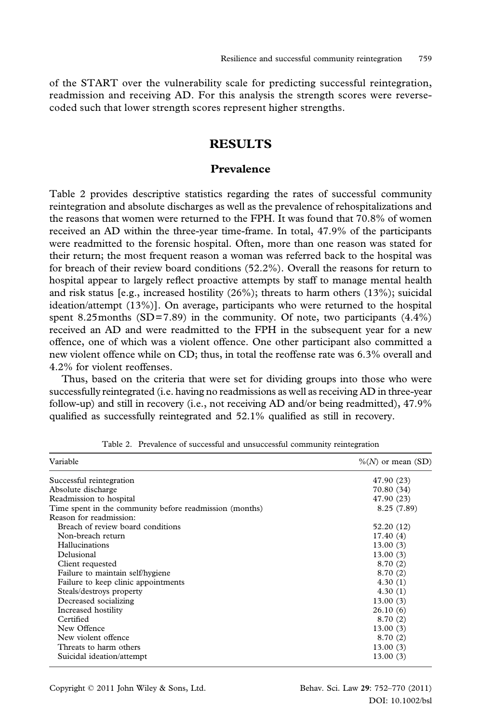of the START over the vulnerability scale for predicting successful reintegration, readmission and receiving AD. For this analysis the strength scores were reversecoded such that lower strength scores represent higher strengths.

# **RESULTS**

## Prevalence

Table 2 provides descriptive statistics regarding the rates of successful community reintegration and absolute discharges as well as the prevalence of rehospitalizations and the reasons that women were returned to the FPH. It was found that 70.8% of women received an AD within the three-year time-frame. In total, 47.9% of the participants were readmitted to the forensic hospital. Often, more than one reason was stated for their return; the most frequent reason a woman was referred back to the hospital was for breach of their review board conditions (52.2%). Overall the reasons for return to hospital appear to largely reflect proactive attempts by staff to manage mental health and risk status [e.g., increased hostility  $(26\%)$ ; threats to harm others  $(13\%)$ ; suicidal ideation/attempt (13%)]. On average, participants who were returned to the hospital spent 8.25 months  $(SD=7.89)$  in the community. Of note, two participants  $(4.4\%)$ received an AD and were readmitted to the FPH in the subsequent year for a new offence, one of which was a violent offence. One other participant also committed a new violent offence while on CD; thus, in total the reoffense rate was 6.3% overall and 4.2% for violent reoffenses.

Thus, based on the criteria that were set for dividing groups into those who were successfully reintegrated (i.e. having no readmissions as well as receiving AD in three-year follow-up) and still in recovery (i.e., not receiving AD and/or being readmitted), 47.9% qualified as successfully reintegrated and 52.1% qualified as still in recovery.

| Variable                                                | $\%$ (N) or mean (SD) |
|---------------------------------------------------------|-----------------------|
| Successful reintegration                                | 47.90 (23)            |
| Absolute discharge                                      | 70.80 (34)            |
| Readmission to hospital                                 | 47.90 (23)            |
| Time spent in the community before readmission (months) | 8.25 (7.89)           |
| Reason for readmission:                                 |                       |
| Breach of review board conditions                       | 52.20 (12)            |
| Non-breach return                                       | 17.40(4)              |
| Hallucinations                                          | 13.00(3)              |
| Delusional                                              | 13.00(3)              |
| Client requested                                        | 8.70(2)               |
| Failure to maintain self/hygiene                        | 8.70(2)               |
| Failure to keep clinic appointments                     | 4.30(1)               |
| Steals/destroys property                                | 4.30(1)               |
| Decreased socializing                                   | 13.00(3)              |
| Increased hostility                                     | 26.10(6)              |
| Certified                                               | 8.70(2)               |
| New Offence                                             | 13.00(3)              |
| New violent offence                                     | 8.70(2)               |
| Threats to harm others                                  | 13.00(3)              |
| Suicidal ideation/attempt                               | 13.00(3)              |
|                                                         |                       |

Table 2. Prevalence of successful and unsuccessful community reintegration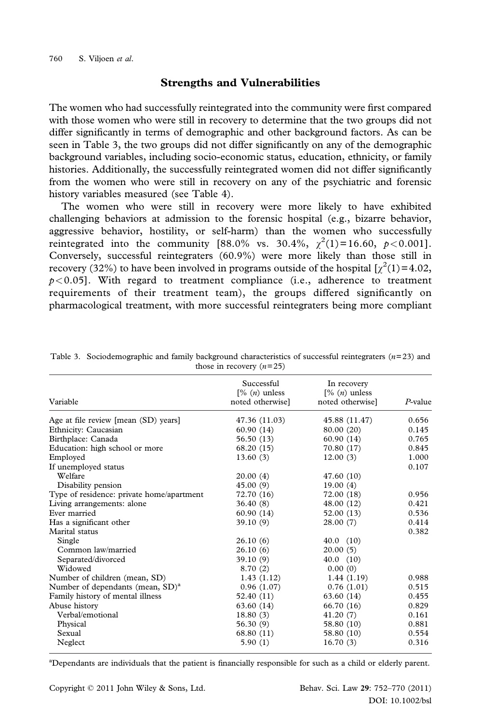## Strengths and Vulnerabilities

The women who had successfully reintegrated into the community were first compared with those women who were still in recovery to determine that the two groups did not differ significantly in terms of demographic and other background factors. As can be seen in Table 3, the two groups did not differ significantly on any of the demographic background variables, including socio-economic status, education, ethnicity, or family histories. Additionally, the successfully reintegrated women did not differ significantly from the women who were still in recovery on any of the psychiatric and forensic history variables measured (see Table 4).

The women who were still in recovery were more likely to have exhibited challenging behaviors at admission to the forensic hospital (e.g., bizarre behavior, aggressive behavior, hostility, or self-harm) than the women who successfully reintegrated into the community [88.0% vs. 30.4%,  $\chi^2(1) = 16.60, p < 0.001$ ]. Conversely, successful reintegraters (60.9%) were more likely than those still in recovery (32%) to have been involved in programs outside of the hospital  $\left[\chi^2(1) = 4.02, \right]$  $p < 0.05$ ]. With regard to treatment compliance (i.e., adherence to treatment requirements of their treatment team), the groups differed significantly on pharmacological treatment, with more successful reintegraters being more compliant

| Variable                                     | Successful<br>$\lceil\% (n) \rceil$ unless<br>noted otherwisel | In recovery<br>$\lceil\% (n) \rceil$ unless<br>noted otherwisel | $P$ -value |
|----------------------------------------------|----------------------------------------------------------------|-----------------------------------------------------------------|------------|
| Age at file review [mean (SD) years]         | 47.36 (11.03)                                                  | 45.88 (11.47)                                                   | 0.656      |
| Ethnicity: Caucasian                         | 60.90(14)                                                      | 80.00 (20)                                                      | 0.145      |
| Birthplace: Canada                           | 56.50 (13)                                                     | 60.90 (14)                                                      | 0.765      |
| Education: high school or more               | 68.20 (15)                                                     | 70.80 (17)                                                      | 0.845      |
| Employed                                     | 13.60(3)                                                       | 12.00(3)                                                        | 1.000      |
| If unemployed status                         |                                                                |                                                                 | 0.107      |
| Welfare                                      | 20.00(4)                                                       | 47.60 (10)                                                      |            |
| Disability pension                           | 45.00(9)                                                       | 19.00(4)                                                        |            |
| Type of residence: private home/apartment    | 72.70 (16)                                                     | 72.00 (18)                                                      | 0.956      |
| Living arrangements: alone                   | 36.40(8)                                                       | 48.00 (12)                                                      | 0.421      |
| Ever married                                 | 60.90(14)                                                      | 52.00 (13)                                                      | 0.536      |
| Has a significant other                      | 39.10(9)                                                       | 28.00(7)                                                        | 0.414      |
| Marital status                               |                                                                |                                                                 | 0.382      |
| Single                                       | 26.10(6)                                                       | 40.0(10)                                                        |            |
| Common law/married                           | 26.10(6)                                                       | 20.00(5)                                                        |            |
| Separated/divorced                           | 39.10(9)                                                       | 40.0(10)                                                        |            |
| Widowed                                      | 8.70(2)                                                        | 0.00(0)                                                         |            |
| Number of children (mean, SD)                | 1.43(1.12)                                                     | 1.44(1.19)                                                      | 0.988      |
| Number of dependants (mean, SD) <sup>a</sup> | 0.96(1.07)                                                     | 0.76(1.01)                                                      | 0.515      |
| Family history of mental illness             | 52.40 (11)                                                     | 63.60 (14)                                                      | 0.455      |
| Abuse history                                | 63.60 (14)                                                     | 66.70 (16)                                                      | 0.829      |
| Verbal/emotional                             | 18.80(3)                                                       | 41.20(7)                                                        | 0.161      |
| Physical                                     | 56.30(9)                                                       | 58.80 (10)                                                      | 0.881      |
| Sexual                                       | 68.80 (11)                                                     | 58.80 (10)                                                      | 0.554      |
| Neglect                                      | 5.90(1)                                                        | 16.70(3)                                                        | 0.316      |

Table 3. Sociodemographic and family background characteristics of successful reintegraters  $(n=23)$  and those in recovery  $(n=25)$ 

a Dependants are individuals that the patient is financially responsible for such as a child or elderly parent.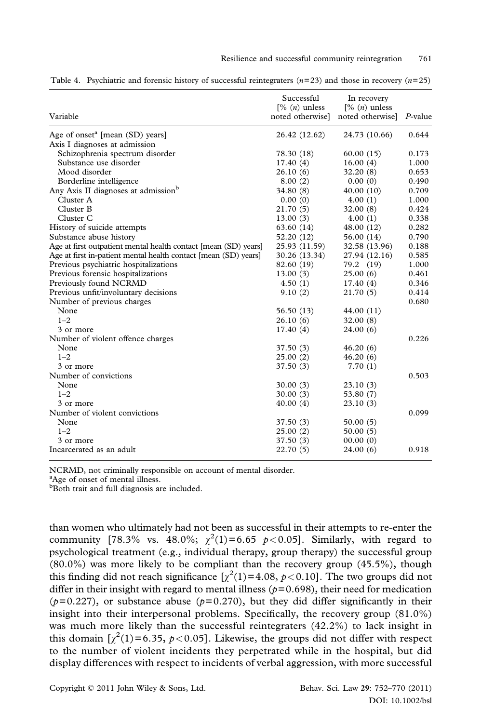| Variable                                                                                                                           | Successful<br>$\lceil\% (n) \rceil$ unless<br>noted otherwisel | In recovery<br>$\lceil\% (n) \rceil$ unless<br>noted otherwisel | $P$ -value     |
|------------------------------------------------------------------------------------------------------------------------------------|----------------------------------------------------------------|-----------------------------------------------------------------|----------------|
| Age of onset <sup>a</sup> [mean (SD) years]                                                                                        | 26.42 (12.62)                                                  | 24.73 (10.66)                                                   | 0.644          |
| Axis I diagnoses at admission                                                                                                      |                                                                |                                                                 |                |
| Schizophrenia spectrum disorder                                                                                                    | 78.30 (18)                                                     | 60.00(15)                                                       | 0.173          |
| Substance use disorder<br>Mood disorder                                                                                            | 17.40(4)                                                       | 16.00(4)                                                        | 1.000          |
|                                                                                                                                    | 26.10(6)                                                       | 32.20(8)                                                        | 0.653<br>0.490 |
| Borderline intelligence                                                                                                            | 8.00(2)                                                        | 0.00(0)                                                         |                |
| Any Axis II diagnoses at admission <sup>b</sup><br>Cluster A                                                                       | 34.80(8)                                                       | 40.00(10)                                                       | 0.709<br>1.000 |
| Cluster B                                                                                                                          | 0.00(0)                                                        | 4.00(1)                                                         | 0.424          |
| Cluster <sub>C</sub>                                                                                                               | 21.70(5)                                                       | 32.00(8)                                                        | 0.338          |
| History of suicide attempts                                                                                                        | 13.00(3)                                                       | 4.00(1)                                                         | 0.282          |
| Substance abuse history                                                                                                            | 63.60 (14)                                                     | 48.00 (12)                                                      | 0.790          |
|                                                                                                                                    | 52.20 (12)<br>25.93 (11.59)                                    | 56.00 (14)<br>32.58 (13.96)                                     | 0.188          |
| Age at first outpatient mental health contact [mean (SD) years]<br>Age at first in-patient mental health contact [mean (SD) years] | 30.26 (13.34)                                                  | 27.94 (12.16)                                                   | 0.585          |
| Previous psychiatric hospitalizations                                                                                              | 82.60 (19)                                                     | 79.2 (19)                                                       | 1.000          |
| Previous forensic hospitalizations                                                                                                 | 13.00(3)                                                       | 25.00(6)                                                        | 0.461          |
| Previously found NCRMD                                                                                                             | 4.50(1)                                                        | 17.40(4)                                                        | 0.346          |
| Previous unfit/involuntary decisions                                                                                               | 9.10(2)                                                        | 21.70(5)                                                        | 0.414          |
| Number of previous charges                                                                                                         |                                                                |                                                                 | 0.680          |
| None                                                                                                                               | 56.50 (13)                                                     | 44.00 (11)                                                      |                |
| $1 - 2$                                                                                                                            | 26.10(6)                                                       | 32.00(8)                                                        |                |
| 3 or more                                                                                                                          | 17.40(4)                                                       | 24.00(6)                                                        |                |
| Number of violent offence charges                                                                                                  |                                                                |                                                                 | 0.226          |
| None                                                                                                                               | 37.50(3)                                                       | 46.20(6)                                                        |                |
| $1 - 2$                                                                                                                            | 25.00(2)                                                       | 46.20(6)                                                        |                |
| 3 or more                                                                                                                          | 37.50(3)                                                       | 7.70(1)                                                         |                |
| Number of convictions                                                                                                              |                                                                |                                                                 | 0.503          |
| None                                                                                                                               | 30.00(3)                                                       | 23.10(3)                                                        |                |
| $1 - 2$                                                                                                                            | 30.00(3)                                                       | 53.80 (7)                                                       |                |
| 3 or more                                                                                                                          | 40.00(4)                                                       | 23.10(3)                                                        |                |
| Number of violent convictions                                                                                                      |                                                                |                                                                 | 0.099          |
| None                                                                                                                               | 37.50(3)                                                       | 50.00(5)                                                        |                |
| $1 - 2$                                                                                                                            | 25.00(2)                                                       | 50.00(5)                                                        |                |
| 3 or more                                                                                                                          | 37.50(3)                                                       | 00.00(0)                                                        |                |
| Incarcerated as an adult                                                                                                           | 22.70 (5)                                                      | 24.00(6)                                                        | 0.918          |
|                                                                                                                                    |                                                                |                                                                 |                |

Table 4. Psychiatric and forensic history of successful reintegraters ( $n=23$ ) and those in recovery ( $n=25$ )

NCRMD, not criminally responsible on account of mental disorder.

<sup>a</sup>Age of onset of mental illness.

b Both trait and full diagnosis are included.

than women who ultimately had not been as successful in their attempts to re-enter the community [78.3% vs. 48.0%;  $\chi^2(1) = 6.65$  p < 0.05]. Similarly, with regard to psychological treatment (e.g., individual therapy, group therapy) the successful group (80.0%) was more likely to be compliant than the recovery group (45.5%), though this finding did not reach significance  $\left[\chi^2(1) = 4.08, p < 0.10\right]$ . The two groups did not differ in their insight with regard to mental illness ( $p=0.698$ ), their need for medication ( $p=0.227$ ), or substance abuse ( $p=0.270$ ), but they did differ significantly in their insight into their interpersonal problems. Specifically, the recovery group (81.0%) was much more likely than the successful reintegraters (42.2%) to lack insight in this domain  $\left[\chi^2(1) = 6.35, p < 0.05\right]$ . Likewise, the groups did not differ with respect to the number of violent incidents they perpetrated while in the hospital, but did display differences with respect to incidents of verbal aggression, with more successful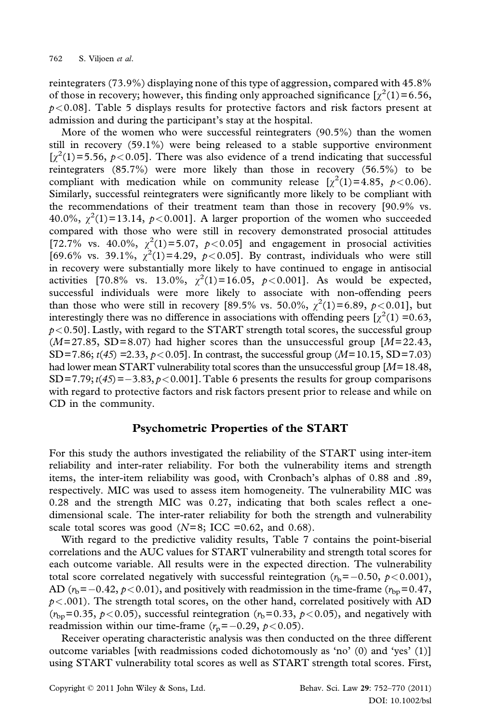reintegraters (73.9%) displaying none of this type of aggression, compared with 45.8% of those in recovery; however, this finding only approached significance  $[\chi^2(1) = 6.56$ ,  $p<0.08$ ]. Table 5 displays results for protective factors and risk factors present at admission and during the participant's stay at the hospital.

More of the women who were successful reintegraters (90.5%) than the women still in recovery (59.1%) were being released to a stable supportive environment  $[\chi^2(1)$ =5.56, p<0.05]. There was also evidence of a trend indicating that successful reintegraters (85.7%) were more likely than those in recovery (56.5%) to be compliant with medication while on community release  $[\chi^2(1) = 4.85, p < 0.06)$ . Similarly, successful reintegraters were significantly more likely to be compliant with the recommendations of their treatment team than those in recovery [90.9% vs. 40.0%,  $\chi^2(1)$ =13.14,  $p < 0.001$ ]. A larger proportion of the women who succeeded compared with those who were still in recovery demonstrated prosocial attitudes [72.7% vs. 40.0%,  $\chi^2(1)$ =5.07,  $p < 0.05$ ] and engagement in prosocial activities [69.6% vs. 39.1%,  $\chi^2(1) = 4.29$ ,  $p < 0.05$ ]. By contrast, individuals who were still in recovery were substantially more likely to have continued to engage in antisocial activities [70.8% vs. 13.0%,  $\chi^2(1) = 16.05$ ,  $p < 0.001$ ]. As would be expected, successful individuals were more likely to associate with non-offending peers than those who were still in recovery [89.5% vs. 50.0%,  $\chi^2(1)$ =6.89, p<0.01], but interestingly there was no difference in associations with offending peers  $\left[\chi^2(1) = 0.63, \right]$  $p < 0.50$ ]. Lastly, with regard to the START strength total scores, the successful group  $(M=27.85, SD=8.07)$  had higher scores than the unsuccessful group  $[M=22.43,$ SD=7.86;  $t(45)$  =2.33,  $p < 0.05$ ]. In contrast, the successful group ( $M=10.15$ , SD=7.03) had lower mean START vulnerability total scores than the unsuccessful group  $[M=18.48]$ ,  $SD=7.79$ ;  $t(45)=-3.83$ ,  $p<0.001$ ]. Table 6 presents the results for group comparisons with regard to protective factors and risk factors present prior to release and while on CD in the community.

#### Psychometric Properties of the START

For this study the authors investigated the reliability of the START using inter-item reliability and inter-rater reliability. For both the vulnerability items and strength items, the inter-item reliability was good, with Cronbach's alphas of 0.88 and .89, respectively. MIC was used to assess item homogeneity. The vulnerability MIC was 0.28 and the strength MIC was 0.27, indicating that both scales reflect a onedimensional scale. The inter-rater reliability for both the strength and vulnerability scale total scores was good  $(N=8; \text{ICC }=0.62, \text{and } 0.68)$ .

With regard to the predictive validity results, Table 7 contains the point-biserial correlations and the AUC values for START vulnerability and strength total scores for each outcome variable. All results were in the expected direction. The vulnerability total score correlated negatively with successful reintegration ( $r_b = -0.50$ ,  $p < 0.001$ ), AD ( $r<sub>b</sub>=0.42$ ,  $p<0.01$ ), and positively with readmission in the time-frame ( $r<sub>bp</sub>=0.47$ ,  $p<.001$ ). The strength total scores, on the other hand, correlated positively with AD  $(r_{\rm bp} = 0.35, p < 0.05)$ , successful reintegration  $(r_{\rm b} = 0.33, p < 0.05)$ , and negatively with readmission within our time-frame  $(r_p=-0.29, p<0.05)$ .

Receiver operating characteristic analysis was then conducted on the three different outcome variables [with readmissions coded dichotomously as 'no' (0) and 'yes' (1)] using START vulnerability total scores as well as START strength total scores. First,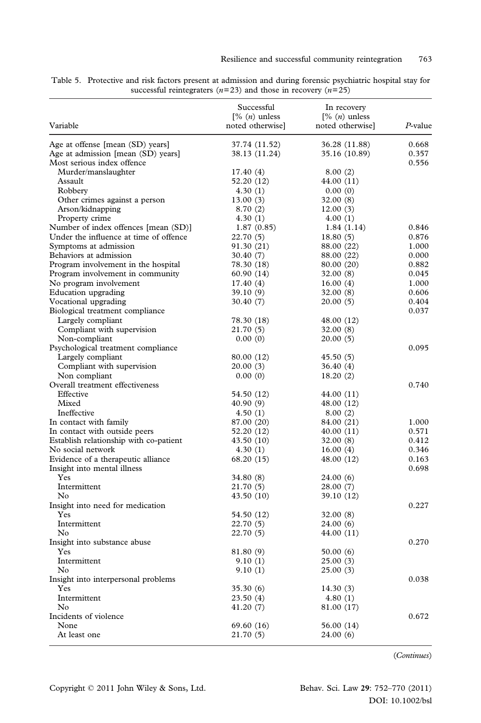|                                        | Successful                   | In recovery                  |         |  |
|----------------------------------------|------------------------------|------------------------------|---------|--|
|                                        | $\lceil\% (n) \rceil$ unless | $\lceil\% (n) \rceil$ unless |         |  |
| Variable                               | noted otherwise]             | noted otherwise]             | P-value |  |
| Age at offense [mean (SD) years]       | 37.74 (11.52)                | 36.28 (11.88)                | 0.668   |  |
| Age at admission [mean (SD) years]     | 38.13 (11.24)                | 35.16 (10.89)                | 0.357   |  |
| Most serious index offence             |                              |                              | 0.556   |  |
| Murder/manslaughter                    | 17.40 (4)                    | 8.00(2)                      |         |  |
| Assault                                | 52.20 (12)                   | 44.00 (11)                   |         |  |
| Robbery                                | 4.30(1)                      | 0.00(0)                      |         |  |
| Other crimes against a person          | 13.00(3)                     | 32.00(8)                     |         |  |
| Arson/kidnapping                       | 8.70(2)                      | 12.00(3)                     |         |  |
| Property crime                         | 4.30(1)                      | 4.00(1)                      |         |  |
| Number of index offences [mean (SD)]   | 1.87(0.85)                   | 1.84(1.14)                   | 0.846   |  |
| Under the influence at time of offence | 22.70 (5)                    | 18.80(5)                     | 0.876   |  |
| Symptoms at admission                  | 91.30 (21)                   | 88.00 (22)                   | 1.000   |  |
| Behaviors at admission                 | 30.40 (7)                    | 88.00 (22)                   | 0.000   |  |
| Program involvement in the hospital    | 78.30 (18)                   | 80.00 (20)                   | 0.882   |  |
| Program involvement in community       | 60.90 (14)                   | 32.00 (8)                    | 0.045   |  |
| No program involvement                 | 17.40(4)                     | 16.00(4)                     | 1.000   |  |
| Education upgrading                    | 39.10 (9)                    | 32.00(8)                     | 0.606   |  |
| Vocational upgrading                   | 30.40(7)                     | 20.00(5)                     | 0.404   |  |
| Biological treatment compliance        |                              |                              | 0.037   |  |
| Largely compliant                      | 78.30 (18)                   | 48.00 (12)                   |         |  |
| Compliant with supervision             | 21.70 (5)                    | 32.00 (8)                    |         |  |
| Non-compliant                          | 0.00(0)                      | 20.00(5)                     |         |  |
| Psychological treatment compliance     |                              |                              | 0.095   |  |
| Largely compliant                      | 80.00 (12)                   | 45.50(5)                     |         |  |
| Compliant with supervision             | 20.00(3)                     | 36.40 (4)                    |         |  |
| Non compliant                          | 0.00(0)                      | 18.20(2)                     |         |  |
| Overall treatment effectiveness        |                              |                              | 0.740   |  |
| Effective                              | 54.50 (12)                   | 44.00 (11)                   |         |  |
| Mixed                                  | 40.90(9)                     | 48.00 (12)                   |         |  |
| Ineffective                            | 4.50(1)                      | 8.00(2)                      |         |  |
| In contact with family                 | 87.00 (20)                   | 84.00 (21)                   | 1.000   |  |
| In contact with outside peers          | 52.20 (12)                   | 40.00 (11)                   | 0.571   |  |
| Establish relationship with co-patient | 43.50 (10)                   | 32.00 (8)                    | 0.412   |  |
| No social network                      | 4.30(1)                      | 16.00(4)                     | 0.346   |  |
| Evidence of a therapeutic alliance     | 68.20 (15)                   | 48.00 (12)                   | 0.163   |  |
| Insight into mental illness            |                              |                              | 0.698   |  |
| Yes                                    | 34.80 (8)                    | 24.00 (6)                    |         |  |
| Intermittent                           | 21.70 (5)                    | 28.00 (7)                    |         |  |
| No                                     | 43.50 (10)                   | 39.10 (12)                   |         |  |
| Insight into need for medication       |                              |                              | 0.227   |  |
| Yes                                    | 54.50 (12)                   | 32.00(8)                     |         |  |
| Intermittent                           | 22.70 (5)                    | 24.00 (6)                    |         |  |
| No                                     | 22.70 (5)                    | 44.00 (11)                   |         |  |
| Insight into substance abuse           |                              |                              | 0.270   |  |
| Yes                                    | 81.80 (9)                    | 50.00(6)                     |         |  |
| Intermittent                           | 9.10(1)                      | 25.00(3)                     |         |  |
| No                                     | 9.10(1)                      | 25.00(3)                     |         |  |
| Insight into interpersonal problems    |                              |                              | 0.038   |  |
| Yes                                    | 35.30(6)                     | 14.30(3)                     |         |  |
| Intermittent                           | 23.50(4)                     | 4.80(1)                      |         |  |
| No                                     | 41.20(7)                     | 81.00 (17)                   |         |  |
| Incidents of violence                  |                              |                              | 0.672   |  |
| None                                   | 69.60 (16)                   | 56.00 (14)                   |         |  |
| At least one                           | 21.70 (5)                    | 24.00 (6)                    |         |  |
|                                        |                              |                              |         |  |

Table 5. Protective and risk factors present at admission and during forensic psychiatric hospital stay for successful reintegraters ( $n=23$ ) and those in recovery ( $n=25$ )

(Continues)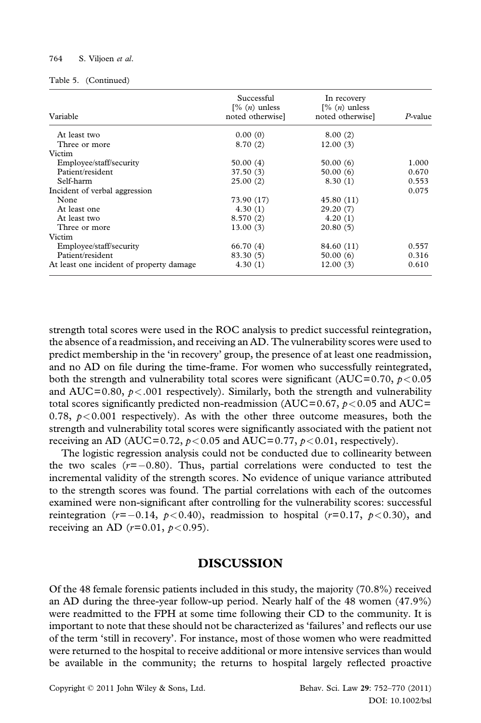#### 764 S. Viljoen et al.

| Variable                                 | Successful<br>$\lceil\% (n) \rceil$ unless<br>noted otherwisel | In recovery<br>$\lceil\% (n) \rceil$ unless<br>noted otherwisel | P-value |
|------------------------------------------|----------------------------------------------------------------|-----------------------------------------------------------------|---------|
| At least two                             | 0.00(0)                                                        | 8.00(2)                                                         |         |
| Three or more                            | 8.70(2)                                                        | 12.00(3)                                                        |         |
| Victim                                   |                                                                |                                                                 |         |
| Employee/staff/security                  | 50.00(4)                                                       | 50.00(6)                                                        | 1.000   |
| Patient/resident                         | 37.50(3)                                                       | 50.00(6)                                                        | 0.670   |
| Self-harm                                | 25.00(2)                                                       | 8.30(1)                                                         | 0.553   |
| Incident of verbal aggression            |                                                                |                                                                 | 0.075   |
| None                                     | 73.90 (17)                                                     | 45.80 (11)                                                      |         |
| At least one                             | 4.30(1)                                                        | 29.20(7)                                                        |         |
| At least two                             | 8.570(2)                                                       | 4.20(1)                                                         |         |
| Three or more                            | 13.00(3)                                                       | 20.80(5)                                                        |         |
| Victim                                   |                                                                |                                                                 |         |
| Employee/staff/security                  | 66.70 (4)                                                      | 84.60 (11)                                                      | 0.557   |
| Patient/resident                         | 83.30 (5)                                                      | 50.00(6)                                                        | 0.316   |
| At least one incident of property damage | 4.30(1)                                                        | 12.00(3)                                                        | 0.610   |

strength total scores were used in the ROC analysis to predict successful reintegration, the absence of a readmission, and receiving an AD. The vulnerability scores were used to predict membership in the 'in recovery' group, the presence of at least one readmission, and no AD on file during the time-frame. For women who successfully reintegrated, both the strength and vulnerability total scores were significant (AUC=0.70,  $p < 0.05$ ) and AUC=0.80,  $p < .001$  respectively). Similarly, both the strength and vulnerability total scores significantly predicted non-readmission (AUC=0.67,  $p < 0.05$  and AUC= 0.78,  $p < 0.001$  respectively). As with the other three outcome measures, both the strength and vulnerability total scores were significantly associated with the patient not receiving an AD (AUC=0.72,  $p < 0.05$  and AUC=0.77,  $p < 0.01$ , respectively).

The logistic regression analysis could not be conducted due to collinearity between the two scales  $(r=-0.80)$ . Thus, partial correlations were conducted to test the incremental validity of the strength scores. No evidence of unique variance attributed to the strength scores was found. The partial correlations with each of the outcomes examined were non-significant after controlling for the vulnerability scores: successful reintegration ( $r=-0.14$ ,  $p<0.40$ ), readmission to hospital ( $r=0.17$ ,  $p<0.30$ ), and receiving an AD  $(r=0.01, p<0.95)$ .

## DISCUSSION

Of the 48 female forensic patients included in this study, the majority (70.8%) received an AD during the three-year follow-up period. Nearly half of the 48 women (47.9%) were readmitted to the FPH at some time following their CD to the community. It is important to note that these should not be characterized as 'failures' and reflects our use of the term 'still in recovery'. For instance, most of those women who were readmitted were returned to the hospital to receive additional or more intensive services than would be available in the community; the returns to hospital largely reflected proactive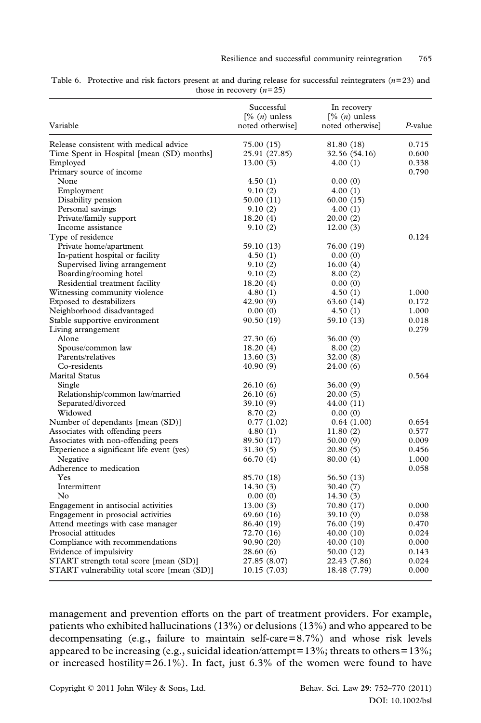|                                             | Successful                   | In recovery                  |            |
|---------------------------------------------|------------------------------|------------------------------|------------|
|                                             | $\lceil\% (n) \rceil$ unless | $\lceil\% (n) \rceil$ unless |            |
| Variable                                    | noted otherwise]             | noted otherwise]             | $P$ -value |
| Release consistent with medical advice      | 75.00 (15)                   | 81.80 (18)                   | 0.715      |
| Time Spent in Hospital [mean (SD) months]   | 25.91 (27.85)                | 32.56 (54.16)                | 0.600      |
| Employed                                    | 13.00(3)                     | 4.00(1)                      | 0.338      |
| Primary source of income                    |                              |                              | 0.790      |
| None                                        | 4.50(1)                      | 0.00(0)                      |            |
| Employment                                  | 9.10(2)                      | 4.00(1)                      |            |
| Disability pension                          | 50.00 (11)                   | 60.00(15)                    |            |
| Personal savings                            | 9.10(2)                      | 4.00(1)                      |            |
| Private/family support                      | 18.20(4)                     | 20.00(2)                     |            |
| Income assistance                           | 9.10(2)                      | 12.00(3)                     |            |
| Type of residence                           |                              |                              | 0.124      |
| Private home/apartment                      | 59.10 (13)                   | 76.00 (19)                   |            |
| In-patient hospital or facility             | 4.50(1)                      | 0.00(0)                      |            |
| Supervised living arrangement               | 9.10(2)                      | 16.00(4)                     |            |
| Boarding/rooming hotel                      | 9.10(2)                      | 8.00(2)                      |            |
| Residential treatment facility              | 18.20(4)                     | 0.00(0)                      |            |
| Witnessing community violence               | 4.80(1)                      | 4.50(1)                      | 1.000      |
| Exposed to destabilizers                    | 42.90 (9)                    | 63.60 (14)                   | 0.172      |
| Neighborhood disadvantaged                  | 0.00(0)                      | 4.50(1)                      | 1.000      |
| Stable supportive environment               | 90.50 (19)                   | 59.10 (13)                   | 0.018      |
| Living arrangement                          |                              |                              | 0.279      |
| Alone                                       | 27.30 (6)                    | 36.00(9)                     |            |
| Spouse/common law                           | 18.20(4)                     | 8.00(2)                      |            |
| Parents/relatives                           | 13.60(3)                     | 32.00(8)                     |            |
| Co-residents                                | 40.90 (9)                    | 24.00(6)                     |            |
| <b>Marital Status</b>                       |                              |                              | 0.564      |
| Single                                      | 26.10(6)                     | 36.00(9)                     |            |
| Relationship/common law/married             | 26.10(6)                     | 20.00(5)                     |            |
| Separated/divorced                          | 39.10 (9)                    | 44.00 (11)                   |            |
| Widowed                                     | 8.70(2)                      | 0.00(0)                      |            |
| Number of dependants [mean (SD)]            | 0.77(1.02)                   | 0.64(1.00)                   | 0.654      |
| Associates with offending peers             | 4.80(1)                      | 11.80(2)                     | 0.577      |
| Associates with non-offending peers         | 89.50 (17)                   | 50.00(9)                     | 0.009      |
| Experience a significant life event (yes)   | 31.30(5)                     | 20.80(5)                     | 0.456      |
| Negative                                    | 66.70 (4)                    | 80.00(4)                     | 1.000      |
| Adherence to medication                     |                              |                              | 0.058      |
| <b>Yes</b>                                  | 85.70 (18)                   | 56.50 (13)                   |            |
| Intermittent                                | 14.30(3)                     | 30.40 (7)                    |            |
| No                                          | 0.00(0)                      | 14.30(3)                     |            |
| Engagement in antisocial activities         | 13.00(3)                     | 70.80 (17)                   | 0.000      |
| Engagement in prosocial activities          | 69.60 (16)                   | 39.10(9)                     | 0.038      |
| Attend meetings with case manager           | 86.40 (19)                   | 76.00 (19)                   | 0.470      |
| Prosocial attitudes                         | 72.70 (16)                   | 40.00 (10)                   | 0.024      |
| Compliance with recommendations             | 90.90 (20)                   | 40.00 (10)                   | 0.000      |
| Evidence of impulsivity                     | 28.60 (6)                    | 50.00 (12)                   | 0.143      |
| START strength total score [mean (SD)]      | 27.85 (8.07)                 | 22.43 (7.86)                 | 0.024      |
| START vulnerability total score [mean (SD)] | 10.15(7.03)                  | 18.48 (7.79)                 | 0.000      |

Table 6. Protective and risk factors present at and during release for successful reintegraters  $(n=23)$  and those in recovery  $(n=25)$ 

management and prevention efforts on the part of treatment providers. For example, patients who exhibited hallucinations (13%) or delusions (13%) and who appeared to be decompensating (e.g., failure to maintain self-care=8.7%) and whose risk levels appeared to be increasing (e.g., suicidal ideation/attempt=13%; threats to others=13%; or increased hostility=26.1%). In fact, just 6.3% of the women were found to have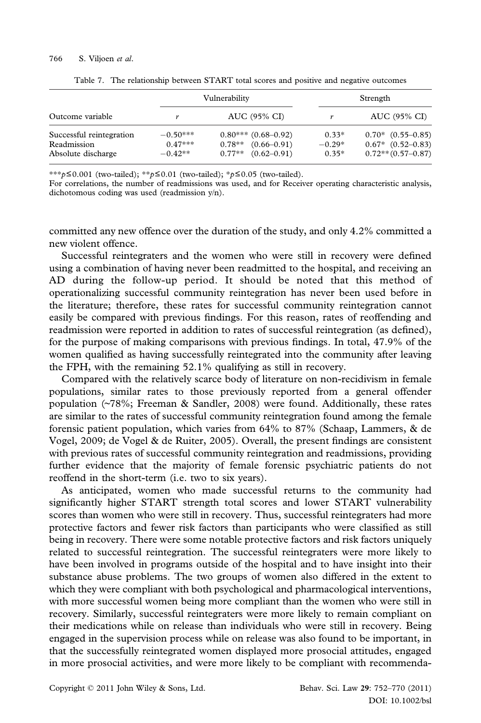#### 766 S. Viljoen et al.

|                                                               |                                      | Vulnerability                                                                      |                                | Strength                                                               |  |
|---------------------------------------------------------------|--------------------------------------|------------------------------------------------------------------------------------|--------------------------------|------------------------------------------------------------------------|--|
| Outcome variable                                              |                                      | AUC (95% CI)                                                                       |                                | AUC (95% CI)                                                           |  |
| Successful reintegration<br>Readmission<br>Absolute discharge | $-0.50***$<br>$0.47***$<br>$-0.42**$ | $0.80***(0.68-0.92)$<br>$0.78**$<br>$(0.66 - 0.91)$<br>$(0.62 - 0.91)$<br>$0.77**$ | $0.33*$<br>$-0.29*$<br>$0.35*$ | $0.70*$ $(0.55-0.85)$<br>$0.67*$ $(0.52-0.83)$<br>$0.72**$ (0.57-0.87) |  |

Table 7. The relationship between START total scores and positive and negative outcomes

\*\*\*p≤0.001 (two-tailed); \*\*p≤0.01 (two-tailed); \*p≤0.05 (two-tailed).

For correlations, the number of readmissions was used, and for Receiver operating characteristic analysis, dichotomous coding was used (readmission y/n).

committed any new offence over the duration of the study, and only 4.2% committed a new violent offence.

Successful reintegraters and the women who were still in recovery were defined using a combination of having never been readmitted to the hospital, and receiving an AD during the follow-up period. It should be noted that this method of operationalizing successful community reintegration has never been used before in the literature; therefore, these rates for successful community reintegration cannot easily be compared with previous findings. For this reason, rates of reoffending and readmission were reported in addition to rates of successful reintegration (as defined), for the purpose of making comparisons with previous findings. In total, 47.9% of the women qualified as having successfully reintegrated into the community after leaving the FPH, with the remaining 52.1% qualifying as still in recovery.

Compared with the relatively scarce body of literature on non-recidivism in female populations, similar rates to those previously reported from a general offender population (~78%; Freeman & Sandler, 2008) were found. Additionally, these rates are similar to the rates of successful community reintegration found among the female forensic patient population, which varies from 64% to 87% (Schaap, Lammers, & de Vogel, 2009; de Vogel & de Ruiter, 2005). Overall, the present findings are consistent with previous rates of successful community reintegration and readmissions, providing further evidence that the majority of female forensic psychiatric patients do not reoffend in the short-term (i.e. two to six years).

As anticipated, women who made successful returns to the community had significantly higher START strength total scores and lower START vulnerability scores than women who were still in recovery. Thus, successful reintegraters had more protective factors and fewer risk factors than participants who were classified as still being in recovery. There were some notable protective factors and risk factors uniquely related to successful reintegration. The successful reintegraters were more likely to have been involved in programs outside of the hospital and to have insight into their substance abuse problems. The two groups of women also differed in the extent to which they were compliant with both psychological and pharmacological interventions, with more successful women being more compliant than the women who were still in recovery. Similarly, successful reintegraters were more likely to remain compliant on their medications while on release than individuals who were still in recovery. Being engaged in the supervision process while on release was also found to be important, in that the successfully reintegrated women displayed more prosocial attitudes, engaged in more prosocial activities, and were more likely to be compliant with recommenda-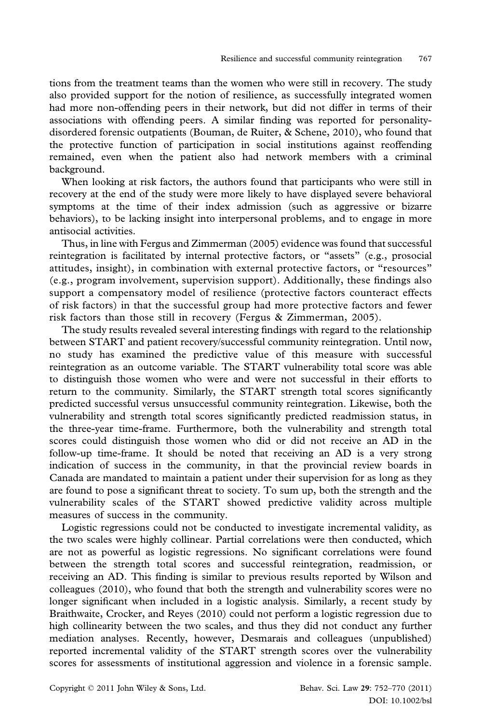tions from the treatment teams than the women who were still in recovery. The study also provided support for the notion of resilience, as successfully integrated women had more non-offending peers in their network, but did not differ in terms of their associations with offending peers. A similar finding was reported for personalitydisordered forensic outpatients (Bouman, de Ruiter, & Schene, 2010), who found that the protective function of participation in social institutions against reoffending remained, even when the patient also had network members with a criminal background.

When looking at risk factors, the authors found that participants who were still in recovery at the end of the study were more likely to have displayed severe behavioral symptoms at the time of their index admission (such as aggressive or bizarre behaviors), to be lacking insight into interpersonal problems, and to engage in more antisocial activities.

Thus, in line with Fergus and Zimmerman (2005) evidence was found that successful reintegration is facilitated by internal protective factors, or "assets" (e.g., prosocial attitudes, insight), in combination with external protective factors, or "resources" (e.g., program involvement, supervision support). Additionally, these findings also support a compensatory model of resilience (protective factors counteract effects of risk factors) in that the successful group had more protective factors and fewer risk factors than those still in recovery (Fergus & Zimmerman, 2005).

The study results revealed several interesting findings with regard to the relationship between START and patient recovery/successful community reintegration. Until now, no study has examined the predictive value of this measure with successful reintegration as an outcome variable. The START vulnerability total score was able to distinguish those women who were and were not successful in their efforts to return to the community. Similarly, the START strength total scores significantly predicted successful versus unsuccessful community reintegration. Likewise, both the vulnerability and strength total scores significantly predicted readmission status, in the three-year time-frame. Furthermore, both the vulnerability and strength total scores could distinguish those women who did or did not receive an AD in the follow-up time-frame. It should be noted that receiving an AD is a very strong indication of success in the community, in that the provincial review boards in Canada are mandated to maintain a patient under their supervision for as long as they are found to pose a significant threat to society. To sum up, both the strength and the vulnerability scales of the START showed predictive validity across multiple measures of success in the community.

Logistic regressions could not be conducted to investigate incremental validity, as the two scales were highly collinear. Partial correlations were then conducted, which are not as powerful as logistic regressions. No significant correlations were found between the strength total scores and successful reintegration, readmission, or receiving an AD. This finding is similar to previous results reported by Wilson and colleagues (2010), who found that both the strength and vulnerability scores were no longer significant when included in a logistic analysis. Similarly, a recent study by Braithwaite, Crocker, and Reyes (2010) could not perform a logistic regression due to high collinearity between the two scales, and thus they did not conduct any further mediation analyses. Recently, however, Desmarais and colleagues (unpublished) reported incremental validity of the START strength scores over the vulnerability scores for assessments of institutional aggression and violence in a forensic sample.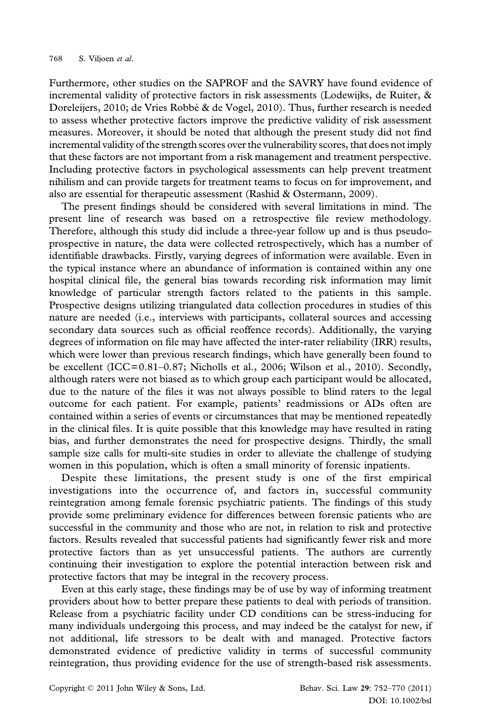Furthermore, other studies on the SAPROF and the SAVRY have found evidence of incremental validity of protective factors in risk assessments (Lodewijks, de Ruiter, & Doreleijers, 2010; de Vries Robbé & de Vogel, 2010). Thus, further research is needed to assess whether protective factors improve the predictive validity of risk assessment measures. Moreover, it should be noted that although the present study did not find incremental validity of the strength scores over the vulnerability scores, that does not imply that these factors are not important from a risk management and treatment perspective. Including protective factors in psychological assessments can help prevent treatment nihilism and can provide targets for treatment teams to focus on for improvement, and also are essential for therapeutic assessment (Rashid & Ostermann, 2009).

The present findings should be considered with several limitations in mind. The present line of research was based on a retrospective file review methodology. Therefore, although this study did include a three-year follow up and is thus pseudoprospective in nature, the data were collected retrospectively, which has a number of identifiable drawbacks. Firstly, varying degrees of information were available. Even in the typical instance where an abundance of information is contained within any one hospital clinical file, the general bias towards recording risk information may limit knowledge of particular strength factors related to the patients in this sample. Prospective designs utilizing triangulated data collection procedures in studies of this nature are needed (i.e., interviews with participants, collateral sources and accessing secondary data sources such as official reoffence records). Additionally, the varying degrees of information on file may have affected the inter-rater reliability (IRR) results, which were lower than previous research findings, which have generally been found to be excellent (ICC=0.81–0.87; Nicholls et al., 2006; Wilson et al., 2010). Secondly, although raters were not biased as to which group each participant would be allocated, due to the nature of the files it was not always possible to blind raters to the legal outcome for each patient. For example, patients' readmissions or ADs often are contained within a series of events or circumstances that may be mentioned repeatedly in the clinical files. It is quite possible that this knowledge may have resulted in rating bias, and further demonstrates the need for prospective designs. Thirdly, the small sample size calls for multi-site studies in order to alleviate the challenge of studying women in this population, which is often a small minority of forensic inpatients.

Despite these limitations, the present study is one of the first empirical investigations into the occurrence of, and factors in, successful community reintegration among female forensic psychiatric patients. The findings of this study provide some preliminary evidence for differences between forensic patients who are successful in the community and those who are not, in relation to risk and protective factors. Results revealed that successful patients had significantly fewer risk and more protective factors than as yet unsuccessful patients. The authors are currently continuing their investigation to explore the potential interaction between risk and protective factors that may be integral in the recovery process.

Even at this early stage, these findings may be of use by way of informing treatment providers about how to better prepare these patients to deal with periods of transition. Release from a psychiatric facility under CD conditions can be stress-inducing for many individuals undergoing this process, and may indeed be the catalyst for new, if not additional, life stressors to be dealt with and managed. Protective factors demonstrated evidence of predictive validity in terms of successful community reintegration, thus providing evidence for the use of strength-based risk assessments.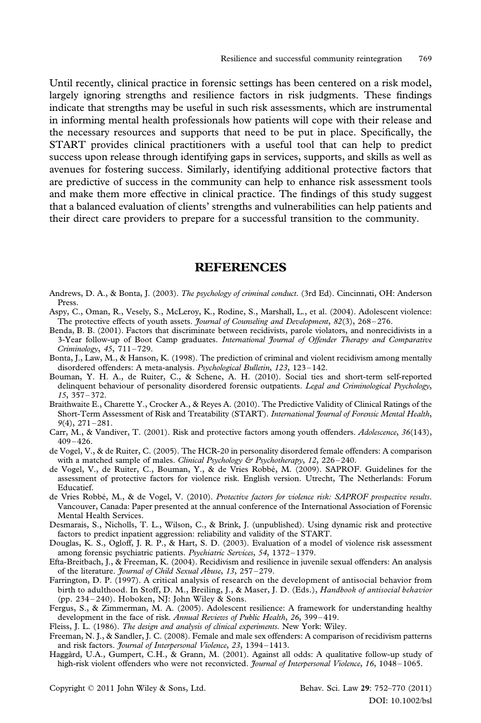Until recently, clinical practice in forensic settings has been centered on a risk model, largely ignoring strengths and resilience factors in risk judgments. These findings indicate that strengths may be useful in such risk assessments, which are instrumental in informing mental health professionals how patients will cope with their release and the necessary resources and supports that need to be put in place. Specifically, the START provides clinical practitioners with a useful tool that can help to predict success upon release through identifying gaps in services, supports, and skills as well as avenues for fostering success. Similarly, identifying additional protective factors that are predictive of success in the community can help to enhance risk assessment tools and make them more effective in clinical practice. The findings of this study suggest that a balanced evaluation of clients' strengths and vulnerabilities can help patients and their direct care providers to prepare for a successful transition to the community.

## **REFERENCES**

Andrews, D. A., & Bonta, J. (2003). The psychology of criminal conduct. (3rd Ed). Cincinnati, OH: Anderson Press.

- Aspy, C., Oman, R., Vesely, S., McLeroy, K., Rodine, S., Marshall, L., et al. (2004). Adolescent violence: The protective effects of youth assets. Journal of Counseling and Development, 82(3), 268-276.
- Benda, B. B. (2001). Factors that discriminate between recidivists, parole violators, and nonrecidivists in a 3-Year follow-up of Boot Camp graduates. International Journal of Offender Therapy and Comparative Criminology, 45, 711–729.
- Bonta, J., Law, M., & Hanson, K. (1998). The prediction of criminal and violent recidivism among mentally disordered offenders: A meta-analysis. Psychological Bulletin, 123, 123-142.
- Bouman, Y. H. A., de Ruiter, C., & Schene, A. H. (2010). Social ties and short-term self-reported delinquent behaviour of personality disordered forensic outpatients. Legal and Criminological Psychology, 15, 357–372.
- Braithwaite E., Charette Y., Crocker A., & Reyes A. (2010). The Predictive Validity of Clinical Ratings of the Short-Term Assessment of Risk and Treatability (START). International Journal of Forensic Mental Health, 9(4), 271–281.
- Carr, M., & Vandiver, T. (2001). Risk and protective factors among youth offenders. Adolescence, 36(143), 409–426.
- de Vogel, V., & de Ruiter, C. (2005). The HCR-20 in personality disordered female offenders: A comparison with a matched sample of males. Clinical Psychology & Psychotherapy, 12, 226–240.
- de Vogel, V., de Ruiter, C., Bouman, Y., & de Vries Robbé, M. (2009). SAPROF. Guidelines for the assessment of protective factors for violence risk. English version. Utrecht, The Netherlands: Forum Educatief.
- de Vries Robbé, M., & de Vogel, V. (2010). Protective factors for violence risk: SAPROF prospective results. Vancouver, Canada: Paper presented at the annual conference of the International Association of Forensic Mental Health Services.
- Desmarais, S., Nicholls, T. L., Wilson, C., & Brink, J. (unpublished). Using dynamic risk and protective factors to predict inpatient aggression: reliability and validity of the START.
- Douglas, K. S., Ogloff, J. R. P., & Hart, S. D. (2003). Evaluation of a model of violence risk assessment among forensic psychiatric patients. Psychiatric Services, 54, 1372–1379.
- Efta-Breitbach, J., & Freeman, K. (2004). Recidivism and resilience in juvenile sexual offenders: An analysis of the literature. Journal of Child Sexual Abuse, 13, 257-279.
- Farrington, D. P. (1997). A critical analysis of research on the development of antisocial behavior from birth to adulthood. In Stoff, D. M., Breiling, J., & Maser, J. D. (Eds.), Handbook of antisocial behavior (pp. 234 – 240). Hoboken, NJ: John Wiley & Sons.
- Fergus, S., & Zimmerman, M. A. (2005). Adolescent resilience: A framework for understanding healthy development in the face of risk. Annual Reviews of Public Health, 26, 399-419.
- Fleiss, J. L. (1986). The design and analysis of clinical experiments. New York: Wiley.
- Freeman, N. J., & Sandler, J. C. (2008). Female and male sex offenders: A comparison of recidivism patterns and risk factors. Journal of Interpersonal Violence, 23, 1394-1413.
- Haggård, U.A., Gumpert, C.H., & Grann, M. (2001). Against all odds: A qualitative follow-up study of high-risk violent offenders who were not reconvicted. *Journal of Interpersonal Violence*, 16, 1048-1065.